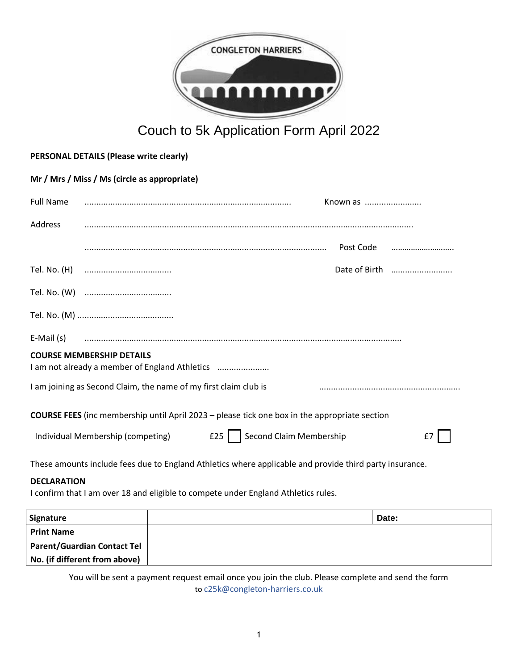

# Couch to 5k Application Form April 2022

| PERSONAL DETAILS (Please write clearly)                                                              |                                                                                                         |  |  |  |  |               |       |  |  |
|------------------------------------------------------------------------------------------------------|---------------------------------------------------------------------------------------------------------|--|--|--|--|---------------|-------|--|--|
| Mr / Mrs / Miss / Ms (circle as appropriate)                                                         |                                                                                                         |  |  |  |  |               |       |  |  |
| <b>Full Name</b>                                                                                     |                                                                                                         |  |  |  |  | Known as      |       |  |  |
| Address                                                                                              |                                                                                                         |  |  |  |  |               |       |  |  |
|                                                                                                      |                                                                                                         |  |  |  |  | Post Code     |       |  |  |
|                                                                                                      |                                                                                                         |  |  |  |  | Date of Birth |       |  |  |
|                                                                                                      |                                                                                                         |  |  |  |  |               |       |  |  |
|                                                                                                      |                                                                                                         |  |  |  |  |               |       |  |  |
| $E-Mail(s)$                                                                                          |                                                                                                         |  |  |  |  |               |       |  |  |
|                                                                                                      | <b>COURSE MEMBERSHIP DETAILS</b><br>I am not already a member of England Athletics                      |  |  |  |  |               |       |  |  |
| I am joining as Second Claim, the name of my first claim club is                                     |                                                                                                         |  |  |  |  |               |       |  |  |
| <b>COURSE FEES</b> (inc membership until April 2023 - please tick one box in the appropriate section |                                                                                                         |  |  |  |  |               |       |  |  |
| Second Claim Membership<br>E25<br>Individual Membership (competing)<br>f7                            |                                                                                                         |  |  |  |  |               |       |  |  |
|                                                                                                      | These amounts include fees due to England Athletics where applicable and provide third party insurance. |  |  |  |  |               |       |  |  |
| <b>DECLARATION</b>                                                                                   | I confirm that I am over 18 and eligible to compete under England Athletics rules.                      |  |  |  |  |               |       |  |  |
| <b>Signature</b>                                                                                     |                                                                                                         |  |  |  |  |               | Date: |  |  |

| Signature                          | Date: |
|------------------------------------|-------|
| <b>Print Name</b>                  |       |
| <b>Parent/Guardian Contact Tel</b> |       |
| No. (if different from above)      |       |

You will be sent a payment request email once you join the club. Please complete and send the form to c25k@congleton-harriers.co.uk